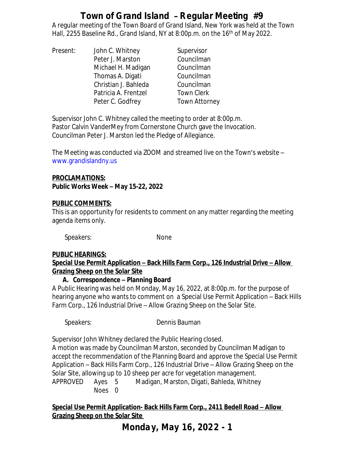A regular meeting of the Town Board of Grand Island, New York was held at the Town Hall, 2255 Baseline Rd., Grand Island, NY at 8:00p.m. on the 16<sup>th</sup> of May 2022.

Present: John C. Whitney Supervisor Peter J. Marston Councilman Michael H. Madigan Councilman Thomas A. Digati Councilman Christian J. Bahleda Councilman Patricia A. Frentzel Town Clerk Peter C. Godfrey Town Attorney

Supervisor John C. Whitney called the meeting to order at 8:00p.m. Pastor Calvin VanderMey from Cornerstone Church gave the Invocation. Councilman Peter J. Marston led the Pledge of Allegiance.

The Meeting was conducted via ZOOM and streamed live on the Town's website – [www.grandislandny.us](http://www.grandislandny.us)

#### **PROCLAMATIONS: Public Works Week – May 15-22, 2022**

### **PUBLIC COMMENTS:**

This is an opportunity for residents to comment on any matter regarding the meeting agenda items only.

Speakers: None

## **PUBLIC HEARINGS:**

### **Special Use Permit Application – Back Hills Farm Corp., 126 Industrial Drive – Allow Grazing Sheep on the Solar Site**

## **A. Correspondence – Planning Board**

A Public Hearing was held on Monday, May 16, 2022, at 8:00p.m. for the purpose of hearing anyone who wants to comment on a Special Use Permit Application – Back Hills Farm Corp., 126 Industrial Drive – Allow Grazing Sheep on the Solar Site.

*Speakers:* Dennis Bauman

Supervisor John Whitney declared the Public Hearing closed.

A motion was made by Councilman Marston, seconded by Councilman Madigan to accept the recommendation of the Planning Board and approve the Special Use Permit Application – Back Hills Farm Corp., 126 Industrial Drive – Allow Grazing Sheep on the Solar Site, allowing up to 10 sheep per acre for vegetation management.

APPROVED Ayes 5 Madigan, Marston, Digati, Bahleda, Whitney Noes 0

**<u>Special Use Permit Application- Back Hills Farm Corp., 2411 Bedell Road – Allow</u> Grazing Sheep on the Solar Site** 

**Monday, May 16, 2022 - 1**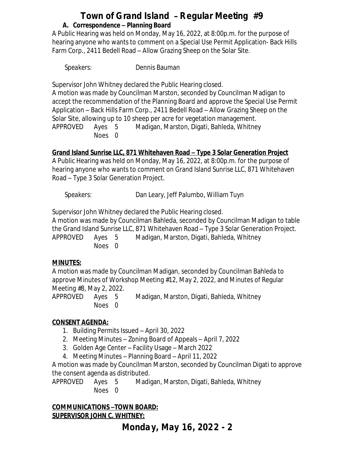# **Town of Grand Island** – **Regular Meeting #9 A. Correspondence – Planning Board**

A Public Hearing was held on Monday, May 16, 2022, at 8:00p.m. for the purpose of hearing anyone who wants to comment on a Special Use Permit Application- Back Hills Farm Corp., 2411 Bedell Road – Allow Grazing Sheep on the Solar Site.

*Speakers:* Dennis Bauman

Supervisor John Whitney declared the Public Hearing closed.

A motion was made by Councilman Marston, seconded by Councilman Madigan to accept the recommendation of the Planning Board and approve the Special Use Permit Application – Back Hills Farm Corp., 2411 Bedell Road – Allow Grazing Sheep on the Solar Site, allowing up to 10 sheep per acre for vegetation management.

APPROVED Ayes 5 Madigan, Marston, Digati, Bahleda, Whitney Noes 0

## **Grand Island Sunrise LLC, 871 Whitehaven Road – Type 3 Solar Generation Project**

A Public Hearing was held on Monday, May 16, 2022, at 8:00p.m. for the purpose of hearing anyone who wants to comment on Grand Island Sunrise LLC, 871 Whitehaven Road – Type 3 Solar Generation Project.

*Speakers:* Dan Leary, Jeff Palumbo, William Tuyn

Supervisor John Whitney declared the Public Hearing closed.

A motion was made by Councilman Bahleda, seconded by Councilman Madigan to table the Grand Island Sunrise LLC, 871 Whitehaven Road – Type 3 Solar Generation Project. APPROVED Ayes 5 Madigan, Marston, Digati, Bahleda, Whitney Noes 0

## **MINUTES:**

A motion was made by Councilman Madigan, seconded by Councilman Bahleda to approve Minutes of Workshop Meeting #12, May 2, 2022, and Minutes of Regular Meeting #8, May 2, 2022.

APPROVED Ayes 5 Madigan, Marston, Digati, Bahleda, Whitney Noes 0

# **CONSENT AGENDA:**

- 1. Building Permits Issued April 30, 2022
- 2. Meeting Minutes Zoning Board of Appeals April 7, 2022
- 3. Golden Age Center Facility Usage March 2022
- 4. Meeting Minutes Planning Board April 11, 2022

A motion was made by Councilman Marston, seconded by Councilman Digati to approve the consent agenda as distributed.

APPROVED Ayes 5 Madigan, Marston, Digati, Bahleda, Whitney Noes 0

### **COMMUNICATIONS –TOWN BOARD: SUPERVISOR JOHN C. WHITNEY:**

**Monday, May 16, 2022 - 2**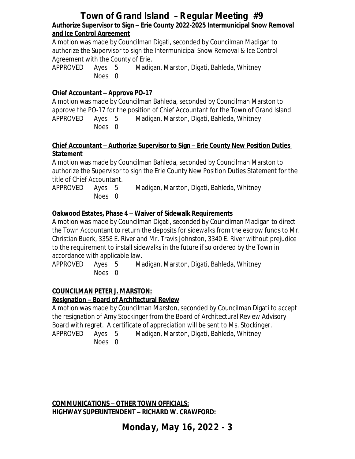## **Town of Grand Island** – **Regular Meeting #9 Authorize Supervisor to Sign – Erie County 2022-2025 Intermunicipal Snow Removal and Ice Control Agreement**

A motion was made by Councilman Digati, seconded by Councilman Madigan to authorize the Supervisor to sign the Intermunicipal Snow Removal & Ice Control Agreement with the County of Erie.

APPROVED Ayes 5 Madigan, Marston, Digati, Bahleda, Whitney Noes 0

### **Chief Accountant – Approve PO-17**

A motion was made by Councilman Bahleda, seconded by Councilman Marston to approve the PO-17 for the position of Chief Accountant for the Town of Grand Island. APPROVED Ayes 5 Madigan, Marston, Digati, Bahleda, Whitney Noes 0

#### **Chief Accountant – Authorize Supervisor to Sign – Erie County New Position Duties Statement**

A motion was made by Councilman Bahleda, seconded by Councilman Marston to authorize the Supervisor to sign the Erie County New Position Duties Statement for the title of Chief Accountant.

APPROVED Ayes 5 Madigan, Marston, Digati, Bahleda, Whitney Noes 0

### **Oakwood Estates, Phase 4 – Waiver of Sidewalk Requirements**

A motion was made by Councilman Digati, seconded by Councilman Madigan to direct the Town Accountant to return the deposits for sidewalks from the escrow funds to Mr. Christian Buerk, 3358 E. River and Mr. Travis Johnston, 3340 E. River without prejudice to the requirement to install sidewalks in the future if so ordered by the Town in accordance with applicable law.

APPROVED Ayes 5 Madigan, Marston, Digati, Bahleda, Whitney Noes 0

## **COUNCILMAN PETER J. MARSTON:**

### **Resignation – Board of Architectural Review**

A motion was made by Councilman Marston, seconded by Councilman Digati to accept the resignation of Amy Stockinger from the Board of Architectural Review Advisory Board with regret. A certificate of appreciation will be sent to Ms. Stockinger. APPROVED Ayes 5 Madigan, Marston, Digati, Bahleda, Whitney

Noes 0

**COMMUNICATIONS – OTHER TOWN OFFICIALS: HIGHWAY SUPERINTENDENT – RICHARD W. CRAWFORD:**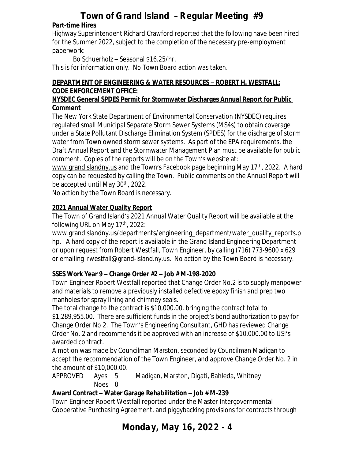## **Part-time Hires**

Highway Superintendent Richard Crawford reported that the following have been hired for the Summer 2022, subject to the completion of the necessary pre-employment paperwork:

Bo Schuerholz – Seasonal \$16.25/hr.

This is for information only. No Town Board action was taken.

### **DEPARTMENT OF ENGINEERING & WATER RESOURCES – ROBERT H. WESTFALL: CODE ENFORCEMENT OFFICE:**

### **NYSDEC General SPDES Permit for Stormwater Discharges Annual Report for Public Comment**

The New York State Department of Environmental Conservation (NYSDEC) requires regulated small Municipal Separate Storm Sewer Systems (MS4s) to obtain coverage under a State Pollutant Discharge Elimination System (SPDES) for the discharge of storm water from Town owned storm sewer systems. As part of the EPA requirements, the Draft Annual Report and the Stormwater Management Plan must be available for public comment. Copies of the reports will be on the Town's website at:

[www.grandislandny.us](http://www.grandislandny.us) and the Town's Facebook page beginning May 17<sup>th</sup>, 2022. A hard copy can be requested by calling the Town. Public comments on the Annual Report will be accepted until May 30<sup>th</sup>, 2022.

No action by the Town Board is necessary.

# **2021 Annual Water Quality Report**

The Town of Grand Island's 2021 Annual Water Quality Report will be available at the following URL on May 17<sup>th</sup>, 2022:

[www.grandislandny.us/departments/engineering\\_department/water\\_quality\\_reports.p](http://www.grandislandny.us/departments/engineering_department/water_quality_reports.php) hp. A hard copy of the report is available in the Grand Island Engineering Department or upon request from Robert Westfall, Town Engineer, by calling (716) 773-9600 x 629 or emailing [rwestfall@grand-island.ny.us](mailto:rwestfall@grand-island.ny.us). No action by the Town Board is necessary.

# **SSES Work Year 9 – Change Order #2 – Job # M-198-2020**

Town Engineer Robert Westfall reported that Change Order No.2 is to supply manpower and materials to remove a previously installed defective epoxy finish and prep two manholes for spray lining and chimney seals.

The total change to the contract is \$10,000.00, bringing the contract total to \$1,289,955.00. There are sufficient funds in the project's bond authorization to pay for Change Order No 2. The Town's Engineering Consultant, GHD has reviewed Change Order No. 2 and recommends it be approved with an increase of \$10,000.00 to USI's awarded contract.

A motion was made by Councilman Marston, seconded by Councilman Madigan to accept the recommendation of the Town Engineer, and approve Change Order No. 2 in the amount of \$10,000.00.

APPROVED Ayes 5 Madigan, Marston, Digati, Bahleda, Whitney Noes 0

# **Award Contract – Water Garage Rehabilitation – Job # M-239**

Town Engineer Robert Westfall reported under the Master Intergovernmental Cooperative Purchasing Agreement, and piggybacking provisions for contracts through

# **Monday, May 16, 2022 - 4**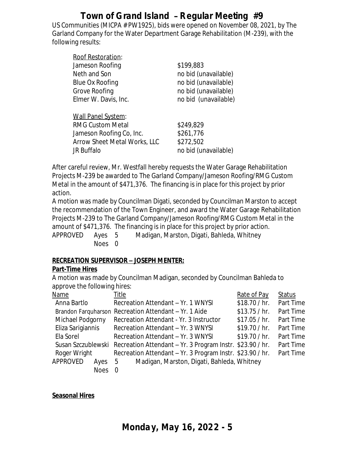US Communities (MICPA # PW1925), bids were opened on November 08, 2021, by The Garland Company for the Water Department Garage Rehabilitation (M-239), with the following results:

| Roof Restoration:                   |                      |
|-------------------------------------|----------------------|
| Jameson Roofing                     | \$199,883            |
| Neth and Son                        | no bid (unavailable) |
| Blue Ox Roofing                     | no bid (unavailable) |
| Grove Roofing                       | no bid (unavailable) |
| Elmer W. Davis, Inc.                | no bid (unavailable) |
|                                     |                      |
| <b>Wall Panel System:</b>           |                      |
| <b>RMG Custom Metal</b>             | \$249,829            |
| Jameson Roofing Co, Inc.            | \$261,776            |
| <b>Arrow Sheet Metal Works, LLC</b> | \$272,502            |
| JR Buffalo                          | no bid (unavailable) |

After careful review, Mr. Westfall hereby requests the Water Garage Rehabilitation Projects M-239 be awarded to The Garland Company/Jameson Roofing/RMG Custom Metal in the amount of \$471,376. The financing is in place for this project by prior action.

A motion was made by Councilman Digati, seconded by Councilman Marston to accept the recommendation of the Town Engineer, and award the Water Garage Rehabilitation Projects M-239 to The Garland Company/Jameson Roofing/RMG Custom Metal in the amount of \$471,376. The financing is in place for this project by prior action. APPROVED Ayes 5 Madigan, Marston, Digati, Bahleda, Whitney Noes 0

### **RECREATION SUPERVISOR – JOSEPH MENTER:**

### **Part-Time Hires**

A motion was made by Councilman Madigan, seconded by Councilman Bahleda to approve the following hires:

| Name               |             | Title                                                     | Rate of Pay   | <b>Status</b> |
|--------------------|-------------|-----------------------------------------------------------|---------------|---------------|
| Anna Bartlo        |             | Recreation Attendant - Yr. 1 WNYSI                        | \$18.70 / hr. | Part Time     |
|                    |             | Brandon Farguharson Recreation Attendant - Yr. 1 Aide     | \$13.75 / hr. | Part Time     |
| Michael Podgorny   |             | Recreation Attendant - Yr. 3 Instructor                   | \$17.05 / hr. | Part Time     |
| Eliza Sarigiannis  |             | Recreation Attendant - Yr. 3 WNYSI                        | \$19.70 / hr. | Part Time     |
| Ela Sorel          |             | Recreation Attendant - Yr. 3 WNYSI                        | \$19.70 / hr. | Part Time     |
| Susan Szczublewski |             | Recreation Attendant – Yr. 3 Program Instr. \$23.90 / hr. |               | Part Time     |
| Roger Wright       |             | Recreation Attendant - Yr. 3 Program Instr. \$23.90 / hr. |               | Part Time     |
| APPROVED           | Ayes        | Madigan, Marston, Digati, Bahleda, Whitney<br>- 5         |               |               |
|                    | <b>Noes</b> |                                                           |               |               |

### **Seasonal Hires**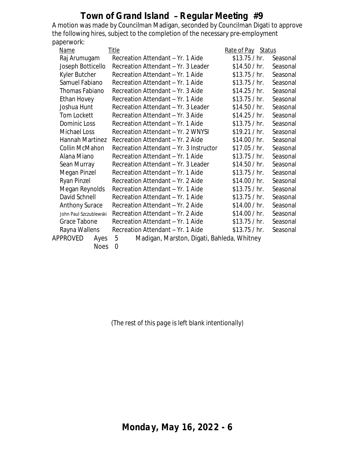A motion was made by Councilman Madigan, seconded by Councilman Digati to approve the following hires, subject to the completion of the necessary pre-employment paperwork:

|                        | Name             | <b>Title</b>                                    | Rate of Pay Status |          |
|------------------------|------------------|-------------------------------------------------|--------------------|----------|
|                        | Raj Arumugam     | Recreation Attendant - Yr. 1 Aide               | \$13.75 / hr.      | Seasonal |
| Joseph Botticello      |                  | Recreation Attendant - Yr. 3 Leader             | \$14.50 / hr.      | Seasonal |
|                        | Kyler Butcher    | Recreation Attendant - Yr. 1 Aide               | \$13.75 / hr.      | Seasonal |
|                        | Samuel Fabiano   | Recreation Attendant - Yr. 1 Aide               | \$13.75 / hr.      | Seasonal |
|                        | Thomas Fabiano   | Recreation Attendant - Yr. 3 Aide               | \$14.25 / hr.      | Seasonal |
|                        | Ethan Hovey      | Recreation Attendant - Yr. 1 Aide               | \$13.75 / hr.      | Seasonal |
|                        | Joshua Hunt      | Recreation Attendant - Yr. 3 Leader             | \$14.50 / hr.      | Seasonal |
|                        | Tom Lockett      | Recreation Attendant - Yr. 3 Aide               | \$14.25 / hr.      | Seasonal |
|                        | Dominic Loss     | Recreation Attendant - Yr. 1 Aide               | \$13.75 / hr.      | Seasonal |
|                        | Michael Loss     | Recreation Attendant - Yr. 2 WNYSI              | \$19.21 / hr.      | Seasonal |
|                        | Hannah Martinez  | Recreation Attendant - Yr. 2 Aide               | \$14.00 / hr.      | Seasonal |
|                        | Collin McMahon   | Recreation Attendant - Yr. 3 Instructor         | \$17.05 / hr.      | Seasonal |
|                        | Alana Miano      | Recreation Attendant - Yr. 1 Aide               | \$13.75 / hr.      | Seasonal |
|                        | Sean Murray      | Recreation Attendant - Yr. 3 Leader             | \$14.50 / hr.      | Seasonal |
|                        | Megan Pinzel     | Recreation Attendant - Yr. 1 Aide               | \$13.75 / hr.      | Seasonal |
|                        | Ryan Pinzel      | Recreation Attendant - Yr. 2 Aide               | \$14.00 / hr.      | Seasonal |
|                        | Megan Reynolds   | Recreation Attendant - Yr. 1 Aide               | \$13.75 / hr.      | Seasonal |
| David Schnell          |                  | Recreation Attendant - Yr. 1 Aide               | \$13.75 / hr.      | Seasonal |
| <b>Anthony Surace</b>  |                  | Recreation Attendant - Yr. 2 Aide               | \$14.00 / hr.      | Seasonal |
| John Paul Szczublewski |                  | Recreation Attendant - Yr. 2 Aide               | \$14.00 / hr.      | Seasonal |
| Grace Tabone           |                  | Recreation Attendant - Yr. 1 Aide               | \$13.75 / hr.      | Seasonal |
| Rayna Wallens          |                  | Recreation Attendant - Yr. 1 Aide               | \$13.75 / hr.      | Seasonal |
|                        | APPROVED<br>Ayes | Madigan, Marston, Digati, Bahleda, Whitney<br>5 |                    |          |
|                        | <b>Noes</b>      | $\overline{0}$                                  |                    |          |
|                        |                  |                                                 |                    |          |

*(The rest of this page is left blank intentionally)*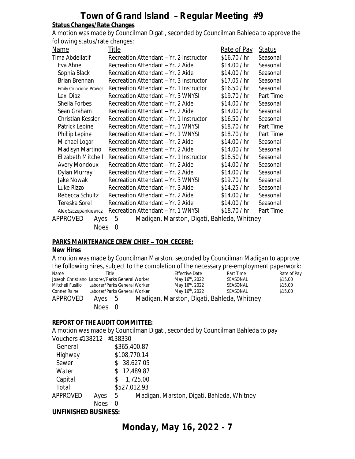#### **Status Changes/Rate Changes**

A motion was made by Councilman Digati, seconded by Councilman Bahleda to approve the following status/rate changes:

| Name                    | <u>Title</u>                                    | Rate of Pay   | <b>Status</b> |  |  |  |
|-------------------------|-------------------------------------------------|---------------|---------------|--|--|--|
| Tima Abdellatif         | Recreation Attendant - Yr. 2 Instructor         | \$16.70 / hr. | Seasonal      |  |  |  |
| Eva Ahne                | Recreation Attendant - Yr. 2 Aide               | \$14.00 / hr. | Seasonal      |  |  |  |
| Sophia Black            | Recreation Attendant - Yr. 2 Aide               | \$14.00 / hr. | Seasonal      |  |  |  |
| Brian Brennan           | Recreation Attendant - Yr. 3 Instructor         | \$17.05 / hr. | Seasonal      |  |  |  |
| Emily Cirincione-Prawel | Recreation Attendant - Yr. 1 Instructor         | \$16.50 / hr. | Seasonal      |  |  |  |
| Lexi Diaz               | Recreation Attendant - Yr. 3 WNYSI              | \$19.70 / hr. | Part Time     |  |  |  |
| Sheila Forbes           | Recreation Attendant - Yr. 2 Aide               | \$14.00 / hr. | Seasonal      |  |  |  |
| Sean Graham             | Recreation Attendant - Yr. 2 Aide               | \$14.00 / hr. | Seasonal      |  |  |  |
| Christian Kessler       | Recreation Attendant - Yr. 1 Instructor         | \$16.50 / hr. | Seasonal      |  |  |  |
| Patrick Lepine          | Recreation Attendant - Yr. 1 WNYSI              | \$18.70 / hr. | Part Time     |  |  |  |
| Phillip Lepine          | Recreation Attendant - Yr. 1 WNYSI              | \$18.70 / hr. | Part Time     |  |  |  |
| Michael Logar           | Recreation Attendant - Yr. 2 Aide               | \$14.00 / hr. | Seasonal      |  |  |  |
| Madisyn Martino         | Recreation Attendant - Yr. 2 Aide               | \$14.00 / hr. | Seasonal      |  |  |  |
| Elizabeth Mitchell      | Recreation Attendant – Yr. 1 Instructor         | \$16.50 / hr. | Seasonal      |  |  |  |
| <b>Avery Mondoux</b>    | Recreation Attendant - Yr. 2 Aide               | \$14.00 / hr. | Seasonal      |  |  |  |
| Dylan Murray            | Recreation Attendant - Yr. 2 Aide               | \$14.00 / hr. | Seasonal      |  |  |  |
| Jake Nowak              | Recreation Attendant – Yr. 3 WNYSI              | \$19.70 / hr. | Seasonal      |  |  |  |
| Luke Rizzo              | Recreation Attendant - Yr. 3 Aide               | \$14.25 / hr. | Seasonal      |  |  |  |
| Rebecca Schultz         | Recreation Attendant - Yr. 2 Aide               | \$14.00 / hr. | Seasonal      |  |  |  |
| Tereska Sorel           | Recreation Attendant - Yr. 2 Aide               | \$14.00 / hr. | Seasonal      |  |  |  |
| Alex Szczepankiewicz    | Recreation Attendant - Yr. 1 WNYSI              | \$18.70 / hr. | Part Time     |  |  |  |
| APPROVED<br>Ayes        | Madigan, Marston, Digati, Bahleda, Whitney<br>5 |               |               |  |  |  |
|                         | <b>Noes</b><br>0                                |               |               |  |  |  |

#### **PARKS MAINTENANCE CREW CHIEF – TOM CECERE:**

#### **New Hires**

A motion was made by Councilman Marston, seconded by Councilman Madigan to approve the following hires, subject to the completion of the necessary pre-employment paperwork:

| Name                                           | Гitle                        |  | <b>Effective Date</b>       | Part Time                                  | Rate of Pay |
|------------------------------------------------|------------------------------|--|-----------------------------|--------------------------------------------|-------------|
| Joseph Christiano Laborer/Parks General Worker |                              |  | May 16 <sup>th</sup> , 2022 | SEASONAL                                   | \$15.00     |
| Mitchell Fusillo                               | Laborer/Parks General Worker |  | May 16 <sup>th</sup> , 2022 | SEASONAL                                   | \$15.00     |
| Conner Raine                                   | Laborer/Parks General Worker |  | May 16 <sup>th</sup> , 2022 | SEASONAL                                   | \$15.00     |
| APPROVED                                       | Ayes 5                       |  |                             | Madigan, Marston, Digati, Bahleda, Whitney |             |
|                                                | Noes 0                       |  |                             |                                            |             |

### **REPORT OF THE AUDIT COMMITTEE:**

A motion was made by Councilman Digati, seconded by Councilman Bahleda to pay Vouchers #138212 - #138330

| General  |                    | \$365,400.87                                    |
|----------|--------------------|-------------------------------------------------|
| Highway  |                    | \$108,770.14                                    |
| Sewer    |                    | \$38,627.05                                     |
| Water    |                    | 12,489.87                                       |
| Capital  |                    | 1,725.00                                        |
| Total    |                    | \$527,012.93                                    |
| APPROVED | Ayes               | Madigan, Marston, Digati, Bahleda, Whitney<br>5 |
|          | <b>Noes</b>        | $\left( \right)$                                |
|          | <b>***********</b> |                                                 |

### **UNFINISHED BUSINESS:**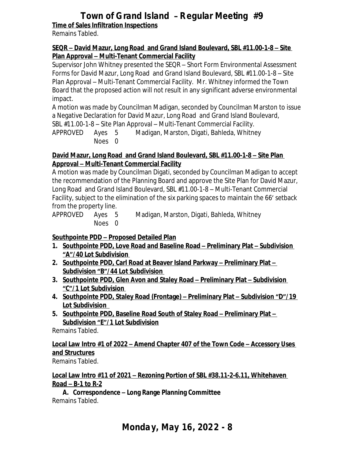**Time of Sales Infiltration Inspections**

Remains Tabled.

### **SEQR – David Mazur, Long Road and Grand Island Boulevard, SBL #11.00-1-8 – Site Plan Approval – Multi-Tenant Commercial Facility**

Supervisor John Whitney presented the SEQR – Short Form Environmental Assessment Forms for David Mazur, Long Road and Grand Island Boulevard, SBL #11.00-1-8 – Site Plan Approval – Multi-Tenant Commercial Facility. Mr. Whitney informed the Town Board that the proposed action will not result in any significant adverse environmental impact.

A motion was made by Councilman Madigan, seconded by Councilman Marston to issue a Negative Declaration for David Mazur, Long Road and Grand Island Boulevard, SBL #11.00-1-8 – Site Plan Approval – Multi-Tenant Commercial Facility.

APPROVED Ayes 5 Madigan, Marston, Digati, Bahleda, Whitney Noes 0

### **David Mazur, Long Road and Grand Island Boulevard, SBL #11.00-1-8 – Site Plan Approval – Multi-Tenant Commercial Facility**

A motion was made by Councilman Digati, seconded by Councilman Madigan to accept the recommendation of the Planning Board and approve the Site Plan for David Mazur, Long Road and Grand Island Boulevard, SBL #11.00-1-8 – Multi-Tenant Commercial Facility, subject to the elimination of the six parking spaces to maintain the 66' setback from the property line.

APPROVED Ayes 5 Madigan, Marston, Digati, Bahleda, Whitney Noes 0

# **Southpointe PDD – Proposed Detailed Plan**

- **1. Southpointe PDD, Love Road and Baseline Road – Preliminary Plat – Subdivision "A"/40 Lot Subdivision**
- **2.** Southpointe PDD, Carl Road at Beaver Island Parkway Preliminary Plat **Subdivision "B"/44 Lot Subdivision**
- **3. Southpointe PDD, Glen Avon and Staley Road – Preliminary Plat – Subdivision "C"/1 Lot Subdivision**
- **4. Southpointe PDD, Staley Road (Frontage) – Preliminary Plat – Subdivision "D"/19 Lot Subdivision**
- **5. Southpointe PDD, Baseline Road South of Staley Road – Preliminary Plat – Subdivision "E"/1 Lot Subdivision**

Remains Tabled.

# **Local Law Intro #1 of 2022 – Amend Chapter 407 of the Town Code – Accessory Uses and Structures**

Remains Tabled.

### **Local Law Intro #11 of 2021 – Rezoning Portion of SBL #38.11-2-6.11, Whitehaven Road – B-1 to R-2**

**A. Correspondence – Long Range Planning Committee** Remains Tabled.